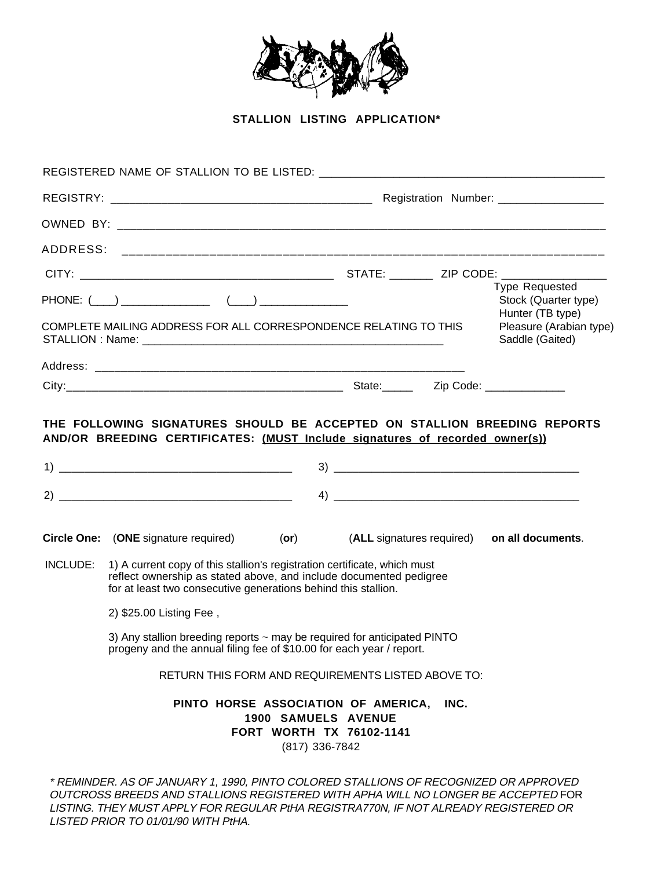

**STALLION LISTING APPLICATION\***

|          | REGISTERED NAME OF STALLION TO BE LISTED: NAME OF STALLION TO BE LISTED:                                                                                                                                          |                |                                                                                                    |                                          |                                                            |  |
|----------|-------------------------------------------------------------------------------------------------------------------------------------------------------------------------------------------------------------------|----------------|----------------------------------------------------------------------------------------------------|------------------------------------------|------------------------------------------------------------|--|
|          |                                                                                                                                                                                                                   |                |                                                                                                    | Registration Number: ___________________ |                                                            |  |
|          |                                                                                                                                                                                                                   |                |                                                                                                    |                                          |                                                            |  |
|          |                                                                                                                                                                                                                   |                |                                                                                                    |                                          |                                                            |  |
|          |                                                                                                                                                                                                                   |                |                                                                                                    |                                          |                                                            |  |
|          | $PHONE: ( \underline{\hspace{1cm}}) \underline{\hspace{1cm}} \underline{\hspace{1cm}} \underline{\hspace{1cm}} )$                                                                                                 |                |                                                                                                    |                                          | Type Requested<br>Stock (Quarter type)<br>Hunter (TB type) |  |
|          | COMPLETE MAILING ADDRESS FOR ALL CORRESPONDENCE RELATING TO THIS                                                                                                                                                  |                |                                                                                                    |                                          | Pleasure (Arabian type)<br>Saddle (Gaited)                 |  |
|          |                                                                                                                                                                                                                   |                |                                                                                                    |                                          |                                                            |  |
|          |                                                                                                                                                                                                                   |                |                                                                                                    |                                          |                                                            |  |
|          |                                                                                                                                                                                                                   |                |                                                                                                    |                                          |                                                            |  |
|          | <b>Circle One:</b> (ONE signature required) (or)                                                                                                                                                                  |                | (ALL signatures required)                                                                          |                                          | on all documents.                                          |  |
| INCLUDE: | 1) A current copy of this stallion's registration certificate, which must<br>reflect ownership as stated above, and include documented pedigree<br>for at least two consecutive generations behind this stallion. |                |                                                                                                    |                                          |                                                            |  |
|          | 2) \$25.00 Listing Fee,                                                                                                                                                                                           |                |                                                                                                    |                                          |                                                            |  |
|          | 3) Any stallion breeding reports ~ may be required for anticipated PINTO<br>progeny and the annual filing fee of \$10.00 for each year / report.                                                                  |                |                                                                                                    |                                          |                                                            |  |
|          | RETURN THIS FORM AND REQUIREMENTS LISTED ABOVE TO:                                                                                                                                                                |                |                                                                                                    |                                          |                                                            |  |
|          |                                                                                                                                                                                                                   | (817) 336-7842 | PINTO HORSE ASSOCIATION OF AMERICA, INC.<br>1900 SAMUELS AVENUE<br><b>FORT WORTH TX 76102-1141</b> |                                          |                                                            |  |
|          | * DEMINIDED. AC OF JANUADV 4, 4000. DINTO COLODED CTALLIONIC OF DECOCNIZED OD ADDDOUED.                                                                                                                           |                |                                                                                                    |                                          |                                                            |  |

\* REMINDER. AS OF JANUARY 1, 1990, PINTO COLORED STALLIONS OF RECOGNIZED OR APPROVED OUTCROSS BREEDS AND STALLIONS REGISTERED WITH APHA WILL NO LONGER BE ACCEPTED FOR LISTING. THEY MUST APPLY FOR REGULAR PtHA REGISTRA770N, IF NOT ALREADY REGISTERED OR LISTED PRIOR TO 01/01/90 WITH PtHA.